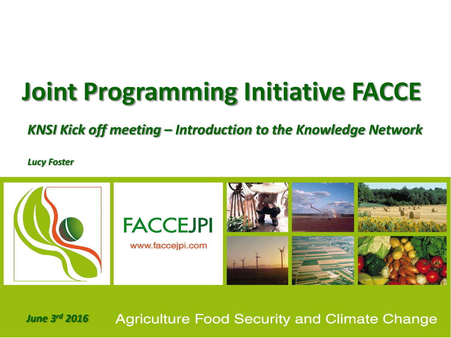## **Joint Programming Initiative FACCE**

*KNSI Kick off meeting – Introduction to the Knowledge Network*

*Lucy Foster*



*June 3 rd 2016***Agriculture Food Security and Climate Change**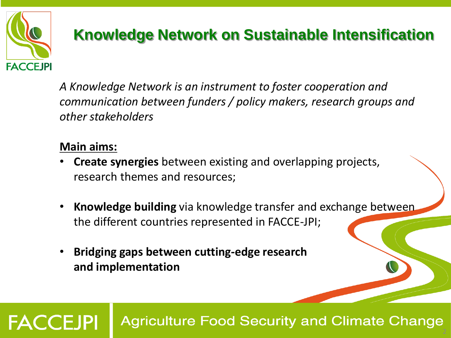

#### **Knowledge Network on Sustainable Intensification**

*A Knowledge Network is an instrument to foster cooperation and communication between funders / policy makers, research groups and other stakeholders*

#### **Main aims:**

- **Create synergies** between existing and overlapping projects, research themes and resources;
- **Knowledge building** via knowledge transfer and exchange between the different countries represented in FACCE-JPI;
- **Bridging gaps between cutting-edge research and implementation**

**FACCEJPI Agriculture Food Security and Climate Change**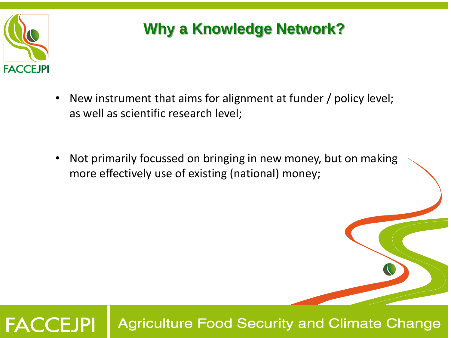

#### **Why a Knowledge Network?**

- New instrument that aims for alignment at funder / policy level; as well as scientific research level;
- • Not primarily focussed on bringing in new money, but on making more effectively use of existing (national) money;

**Agriculture Food Security and Climate Change FACCEJPI**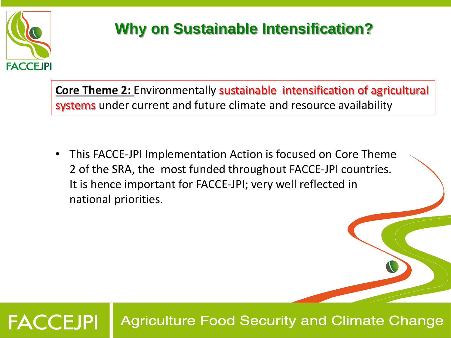

## **Why on Sustainable Intensification?**

**Core Theme 2:** Environmentally sustainable intensification of agricultural systems under current and future climate and resource availability

• This FACCE-JPI Implementation Action is focused on Core Theme 2 of the SRA, the most funded throughout FACCE-JPI countries. It is hence important for FACCE-JPI; very well reflected in national priorities.

**Agriculture Food Security and Climate Change FACCEJPI**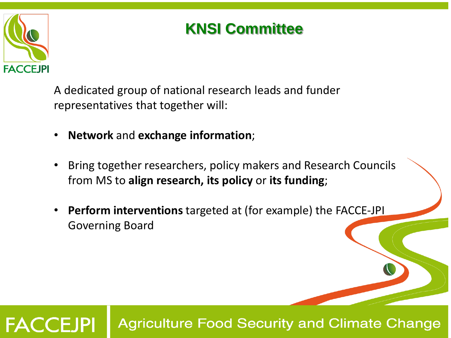

#### **KNSI Committee**

A dedicated group of national research leads and funder representatives that together will:

- **Network** and **exchange information**;
- Bring together researchers, policy makers and Research Councils from MS to **align research, its policy** or **its funding**;
- **Perform interventions** targeted at (for example) the FACCE-JPI Governing Board

#### **FACCEJPI Agriculture Food Security and Climate Change**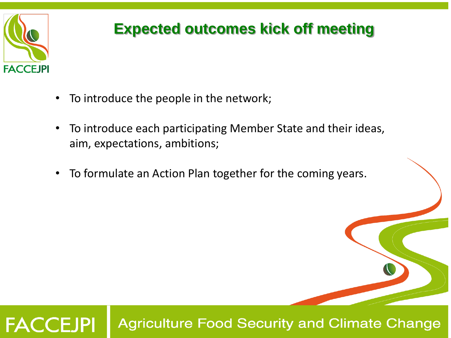

#### **Expected outcomes kick off meeting**

- To introduce the people in the network;
- To introduce each participating Member State and their ideas, aim, expectations, ambitions;
- To formulate an Action Plan together for the coming years.

**Agriculture Food Security and Climate Change FACCEJPI**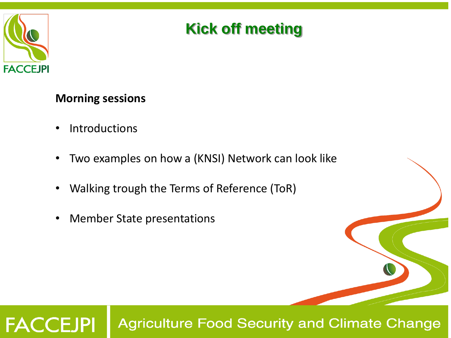

#### **Kick off meeting**

**Morning sessions**

- Introductions
- Two examples on how a (KNSI) Network can look like
- Walking trough the Terms of Reference (ToR)
- Member State presentations

#### **FACCEJPI Agriculture Food Security and Climate Change**